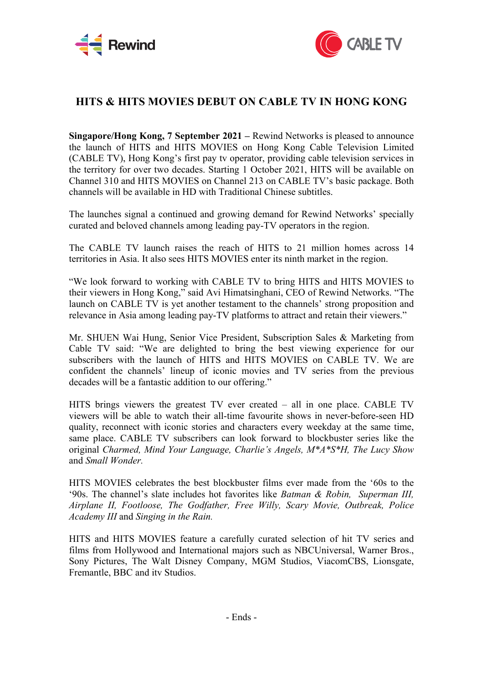



## **HITS & HITS MOVIES DEBUT ON CABLE TV IN HONG KONG**

**Singapore/Hong Kong, 7 September 2021 –** Rewind Networks is pleased to announce the launch of HITS and HITS MOVIES on Hong Kong Cable Television Limited (CABLE TV), Hong Kong's first pay tv operator, providing cable television services in the territory for over two decades. Starting 1 October 2021, HITS will be available on Channel 310 and HITS MOVIES on Channel 213 on CABLE TV's basic package. Both channels will be available in HD with Traditional Chinese subtitles.

The launches signal a continued and growing demand for Rewind Networks' specially curated and beloved channels among leading pay-TV operators in the region.

The CABLE TV launch raises the reach of HITS to 21 million homes across 14 territories in Asia. It also sees HITS MOVIES enter its ninth market in the region.

"We look forward to working with CABLE TV to bring HITS and HITS MOVIES to their viewers in Hong Kong," said Avi Himatsinghani, CEO of Rewind Networks. "The launch on CABLE TV is yet another testament to the channels' strong proposition and relevance in Asia among leading pay-TV platforms to attract and retain their viewers."

Mr. SHUEN Wai Hung, Senior Vice President, Subscription Sales & Marketing from Cable TV said: "We are delighted to bring the best viewing experience for our subscribers with the launch of HITS and HITS MOVIES on CABLE TV. We are confident the channels' lineup of iconic movies and TV series from the previous decades will be a fantastic addition to our offering."

HITS brings viewers the greatest TV ever created – all in one place. CABLE TV viewers will be able to watch their all-time favourite shows in never-before-seen HD quality, reconnect with iconic stories and characters every weekday at the same time, same place. CABLE TV subscribers can look forward to blockbuster series like the original *Charmed, Mind Your Language, Charlie's Angels, M\*A\*S\*H, The Lucy Show* and *Small Wonder.*

HITS MOVIES celebrates the best blockbuster films ever made from the '60s to the '90s. The channel's slate includes hot favorites like *Batman & Robin, Superman III, Airplane II, Footloose, The Godfather, Free Willy, Scary Movie, Outbreak, Police Academy III* and *Singing in the Rain.*

HITS and HITS MOVIES feature a carefully curated selection of hit TV series and films from Hollywood and International majors such as NBCUniversal, Warner Bros., Sony Pictures, The Walt Disney Company, MGM Studios, ViacomCBS, Lionsgate, Fremantle, BBC and itv Studios.